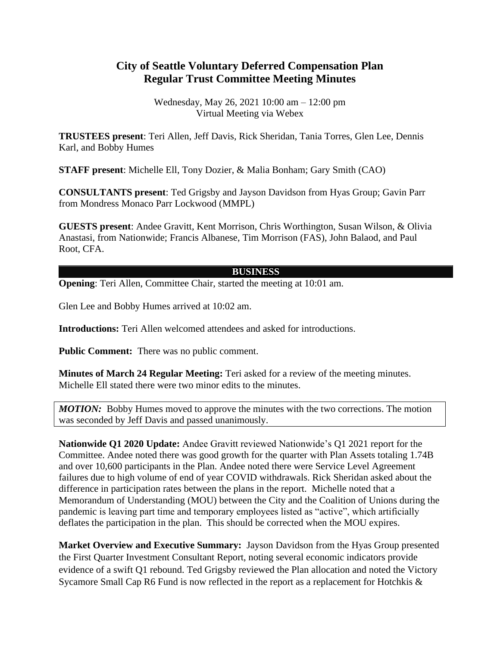## **City of Seattle Voluntary Deferred Compensation Plan Regular Trust Committee Meeting Minutes**

Wednesday, May 26, 2021 10:00 am – 12:00 pm Virtual Meeting via Webex

**TRUSTEES present**: Teri Allen, Jeff Davis, Rick Sheridan, Tania Torres, Glen Lee, Dennis Karl, and Bobby Humes

**STAFF present**: Michelle Ell, Tony Dozier, & Malia Bonham; Gary Smith (CAO)

**CONSULTANTS present**: Ted Grigsby and Jayson Davidson from Hyas Group; Gavin Parr from Mondress Monaco Parr Lockwood (MMPL)

**GUESTS present**: Andee Gravitt, Kent Morrison, Chris Worthington, Susan Wilson, & Olivia Anastasi, from Nationwide; Francis Albanese, Tim Morrison (FAS), John Balaod, and Paul Root, CFA.

## **BUSINESS**

**Opening:** Teri Allen, Committee Chair, started the meeting at 10:01 am.

Glen Lee and Bobby Humes arrived at 10:02 am.

**Introductions:** Teri Allen welcomed attendees and asked for introductions.

**Public Comment:** There was no public comment.

**Minutes of March 24 Regular Meeting:** Teri asked for a review of the meeting minutes. Michelle Ell stated there were two minor edits to the minutes.

*MOTION:* Bobby Humes moved to approve the minutes with the two corrections. The motion was seconded by Jeff Davis and passed unanimously.

**Nationwide Q1 2020 Update:** Andee Gravitt reviewed Nationwide's Q1 2021 report for the Committee. Andee noted there was good growth for the quarter with Plan Assets totaling 1.74B and over 10,600 participants in the Plan. Andee noted there were Service Level Agreement failures due to high volume of end of year COVID withdrawals. Rick Sheridan asked about the difference in participation rates between the plans in the report. Michelle noted that a Memorandum of Understanding (MOU) between the City and the Coalition of Unions during the pandemic is leaving part time and temporary employees listed as "active", which artificially deflates the participation in the plan. This should be corrected when the MOU expires.

**Market Overview and Executive Summary:** Jayson Davidson from the Hyas Group presented the First Quarter Investment Consultant Report, noting several economic indicators provide evidence of a swift Q1 rebound. Ted Grigsby reviewed the Plan allocation and noted the Victory Sycamore Small Cap R6 Fund is now reflected in the report as a replacement for Hotchkis &